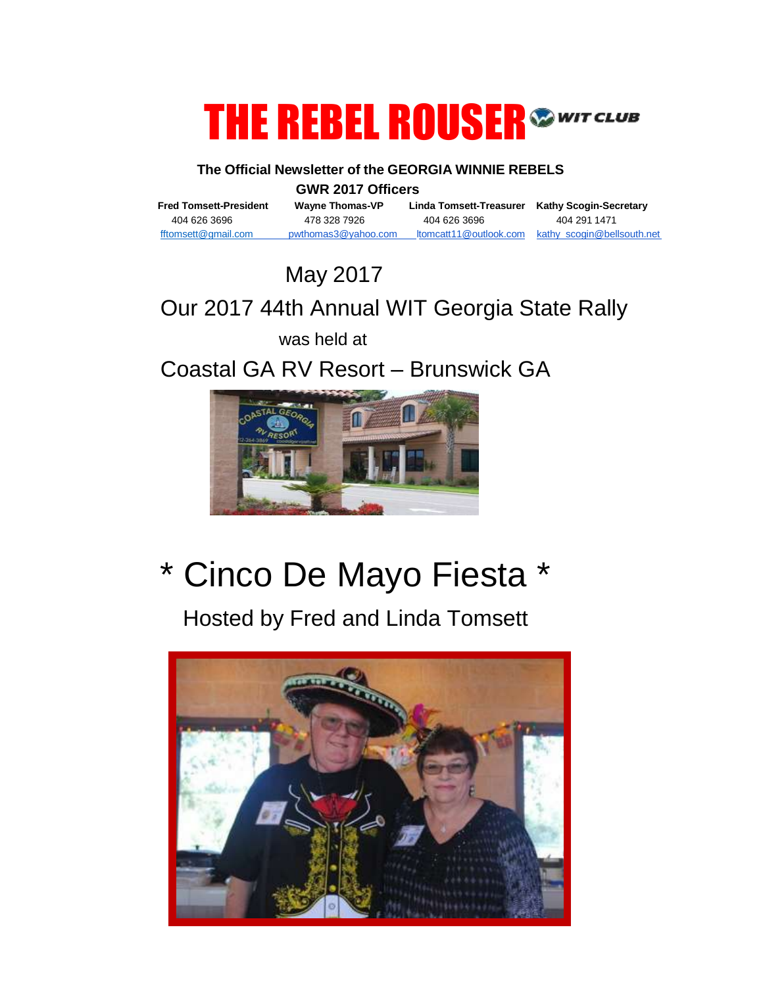# THE REBEL ROUSER<sup>SWITCLUB</sup>

#### **The Official Newsletter of the GEORGIA WINNIE REBELS**

**GWR 2017 Officers**<br>Fred Tomsett-President Wayne Thomas-VP Lir

404 626 3696 478 328 7926 404 626 3696 404 291 1471

**Fred Tomsett-President Wayne Thomas-VP Linda Tomsett-Treasurer Kathy Scogin-Secretary**

[fftomsett@gmail.com](mailto:fftomsett@gmail.com) pwthomas3@yahoo.com [ltomcatt11@outlook.com](mailto:ltomcatt11@outlook.com) kathy\_scogin@bellsouth.net

May 2017

## Our 2017 44th Annual WIT Georgia State Rally

was held at

Coastal GA RV Resort – Brunswick GA



## \* Cinco De Mayo Fiesta \*

Hosted by Fred and Linda Tomsett

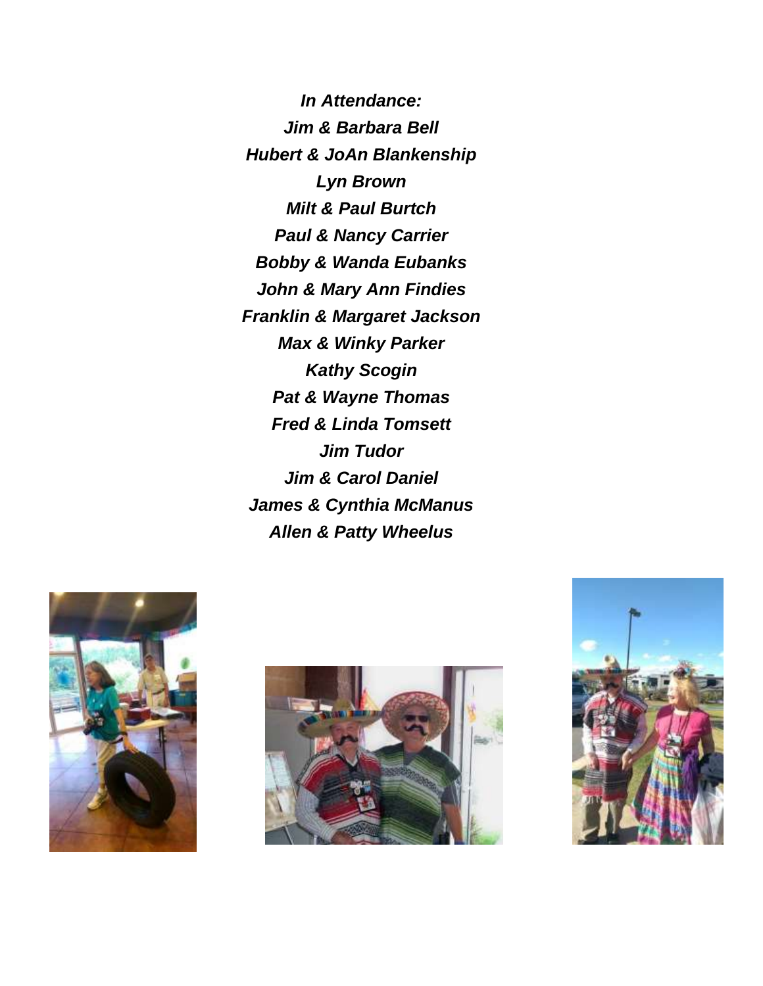*In Attendance: Jim & Barbara Bell Hubert & JoAn Blankenship Lyn Brown Milt & Paul Burtch Paul & Nancy Carrier Bobby & Wanda Eubanks John & Mary Ann Findies Franklin & Margaret Jackson Max & Winky Parker Kathy Scogin Pat & Wayne Thomas Fred & Linda Tomsett Jim Tudor Jim & Carol Daniel James & Cynthia McManus Allen & Patty Wheelus* 





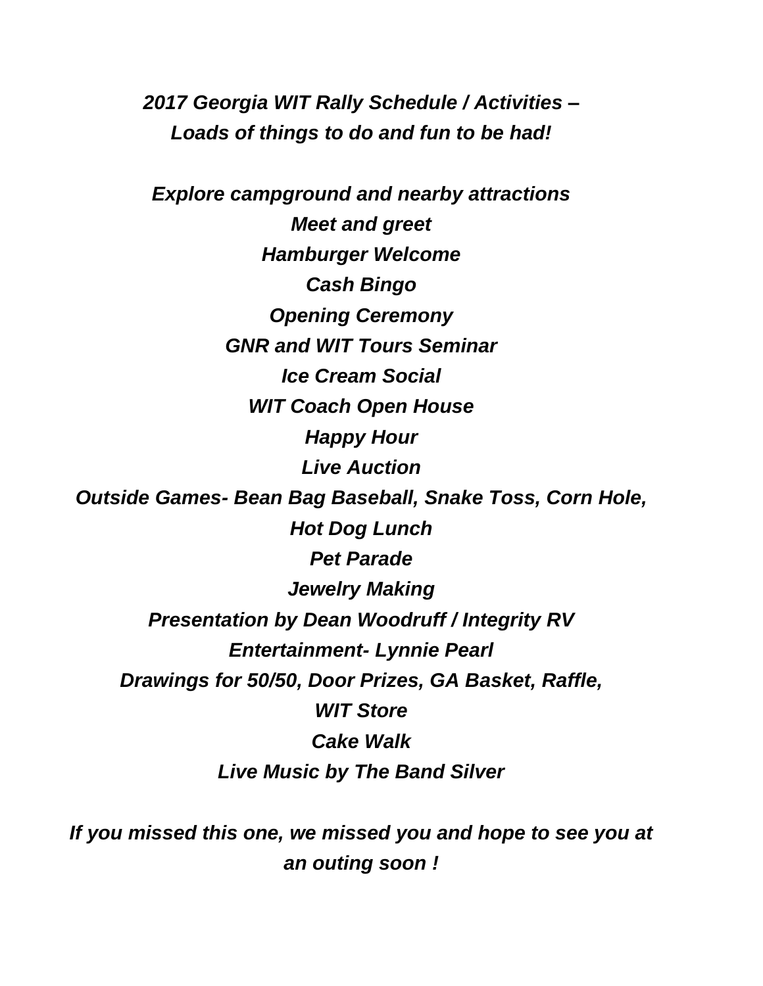*2017 Georgia WIT Rally Schedule / Activities – Loads of things to do and fun to be had!*

*Explore campground and nearby attractions Meet and greet Hamburger Welcome Cash Bingo Opening Ceremony GNR and WIT Tours Seminar Ice Cream Social WIT Coach Open House Happy Hour Live Auction Outside Games- Bean Bag Baseball, Snake Toss, Corn Hole, Hot Dog Lunch Pet Parade Jewelry Making Presentation by Dean Woodruff / Integrity RV Entertainment- Lynnie Pearl Drawings for 50/50, Door Prizes, GA Basket, Raffle, WIT Store Cake Walk Live Music by The Band Silver*

*If you missed this one, we missed you and hope to see you at an outing soon !*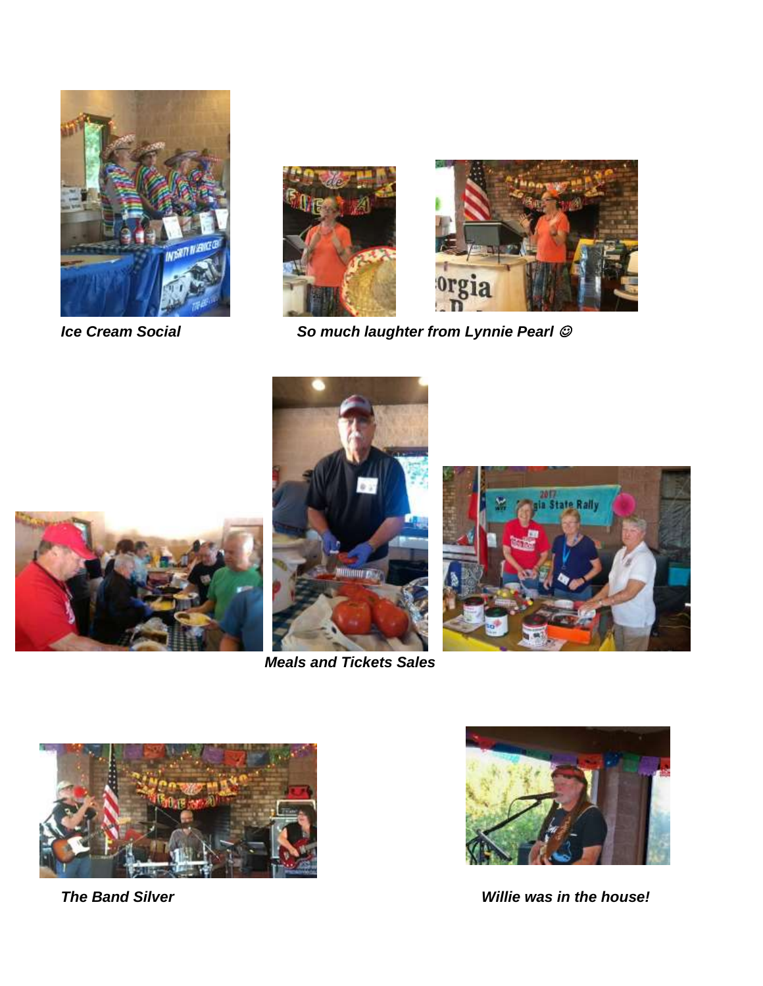



*Ice Cream Social So much laughter from Lynnie Pearl* 





 *Meals and Tickets Sales* 







**The Band Silver Willie was in the house!**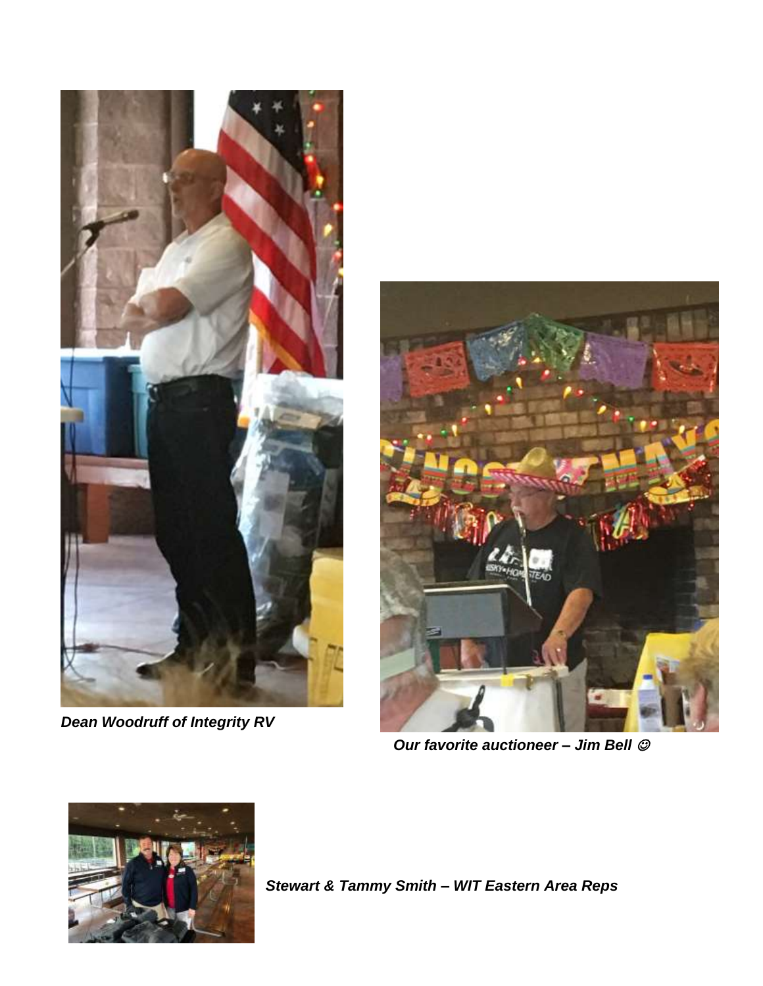

*Dean Woodruff of Integrity RV* 



 *Our favorite auctioneer – Jim Bell* 



*Stewart & Tammy Smith – WIT Eastern Area Reps*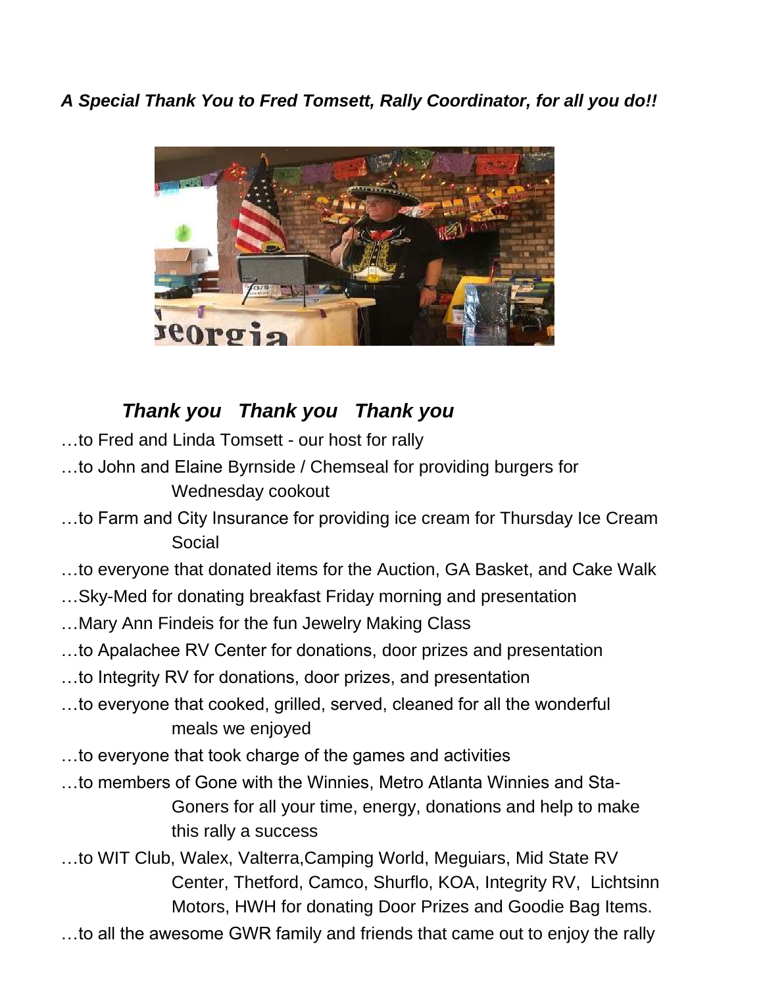*A Special Thank You to Fred Tomsett, Rally Coordinator, for all you do!!* 



### *Thank you Thank you Thank you*

- …to Fred and Linda Tomsett our host for rally
- …to John and Elaine Byrnside / Chemseal for providing burgers for Wednesday cookout
- …to Farm and City Insurance for providing ice cream for Thursday Ice Cream Social
- …to everyone that donated items for the Auction, GA Basket, and Cake Walk
- …Sky-Med for donating breakfast Friday morning and presentation
- …Mary Ann Findeis for the fun Jewelry Making Class
- …to Apalachee RV Center for donations, door prizes and presentation
- …to Integrity RV for donations, door prizes, and presentation
- …to everyone that cooked, grilled, served, cleaned for all the wonderful meals we enjoyed
- …to everyone that took charge of the games and activities
- …to members of Gone with the Winnies, Metro Atlanta Winnies and Sta-Goners for all your time, energy, donations and help to make this rally a success
- …to WIT Club, Walex, Valterra,Camping World, Meguiars, Mid State RV Center, Thetford, Camco, Shurflo, KOA, Integrity RV, Lichtsinn Motors, HWH for donating Door Prizes and Goodie Bag Items.
- …to all the awesome GWR family and friends that came out to enjoy the rally